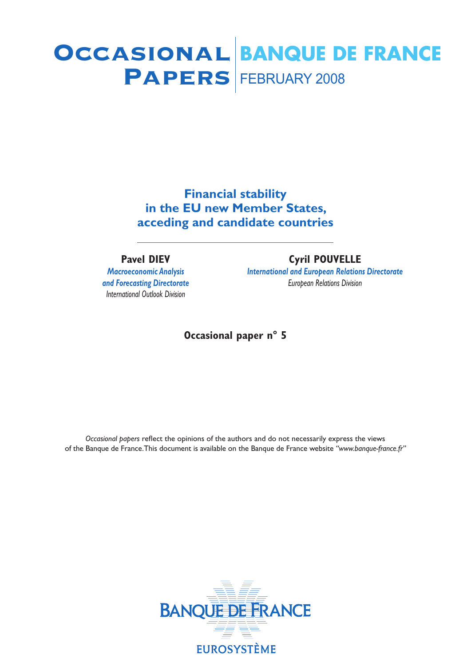# **PAPERS** FEBRUARY 2008 Occasional **BANQUE DE FRANCE**

**Financial stability in the EU new Member States, acceding and candidate countries**

### **Pavel DIEV**

*Macroeconomic Analysis and Forecasting Directorate International Outlook Division*

### **Cyril POUVELLE**

*International and European Relations Directorate European Relations Division*

### **Occasional paper n° 5**

*Occasional papers* reflect the opinions of the authors and do not necessarily express the views of the Banque de France.This document is available on the Banque de France website *"www.banque-france.fr"*

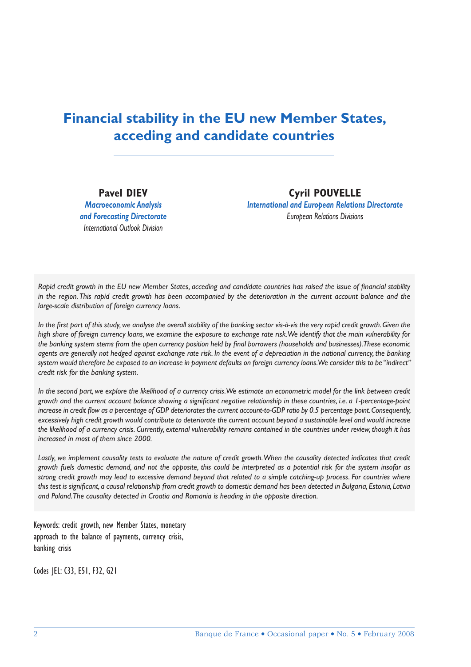### **Financial stability in the EU new Member States, acceding and candidate countries**

**Pavel DIEV** *Macroeconomic Analysis and Forecasting Directorate International Outlook Division*

**Cyril POUVELLE** *International and European Relations Directorate European Relations Divisions*

Rapid credit growth in the EU new Member States, acceding and candidate countries has raised the issue of financial stability *in the region. This rapid credit growth has been accompanied by the deterioration in the current account balance and the large-scale distribution of foreign currency loans.*

In the first part of this study, we analyse the overall stability of the banking sector vis-à-vis the very rapid credit growth. Given the *high share of foreign currency loans, we examine the exposure to exchange rate risk. We identify that the main vulnerability for*  the banking system stems from the open currency position held by final borrowers (households and businesses). These economic *agents are generally not hedged against exchange rate risk. In the event of a depreciation in the national currency, the banking system would therefore be exposed to an increase in payment defaults on foreign currency loans. We consider this to be "indirect" credit risk for the banking system.*

*In the second part, we explore the likelihood of a currency crisis. We estimate an econometric model for the link between credit*  growth and the current account balance showing a significant negative relationship in these countries, *i.e. a 1-percentage-point* increase in credit flow as a percentage of GDP deteriorates the current account-to-GDP ratio by 0.5 percentage point. Consequently, *excessively high credit growth would contribute to deteriorate the current account beyond a sustainable level and would increase the likelihood of a currency crisis. Currently, external vulnerability remains contained in the countries under review, though it has increased in most of them since 2000.*

*Lastly, we implement causality tests to evaluate the nature of credit growth. When the causality detected indicates that credit growth fuels domestic demand, and not the opposite, this could be interpreted as a potential risk for the system insofar as strong credit growth may lead to excessive demand beyond that related to a simple catching-up process. For countries where this test is signifi cant, a causal relationship from credit growth to domestic demand has been detected in Bulgaria, Estonia, Latvia and Poland. The causality detected in Croatia and Romania is heading in the opposite direction.*

Keywords: credit growth, new Member States, monetary approach to the balance of payments, currency crisis, banking crisis

Codes JEL: C33, E51, F32, G21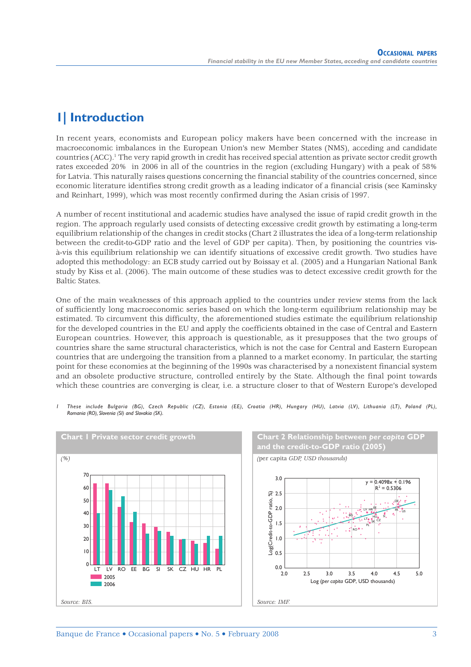### **1| Introduction**

In recent years, economists and European policy makers have been concerned with the increase in macroeconomic imbalances in the European Union's new Member States (NMS), acceding and candidate countries (ACC).<sup>1</sup> The very rapid growth in credit has received special attention as private sector credit growth rates exceeded 20% in 2006 in all of the countries in the region (excluding Hungary) with a peak of 58% for Latvia. This naturally raises questions concerning the financial stability of the countries concerned, since economic literature identifies strong credit growth as a leading indicator of a financial crisis (see Kaminsky and Reinhart, 1999), which was most recently confirmed during the Asian crisis of 1997.

A number of recent institutional and academic studies have analysed the issue of rapid credit growth in the region. The approach regularly used consists of detecting excessive credit growth by estimating a long-term equilibrium relationship of the changes in credit stocks (Chart 2 illustrates the idea of a long-term relationship between the credit-to-GDP ratio and the level of GDP per capita). Then, by positioning the countries visà-vis this equilibrium relationship we can identify situations of excessive credit growth. Two studies have adopted this methodology: an ECB study carried out by Boissay et al. (2005) and a Hungarian National Bank study by Kiss et al. (2006). The main outcome of these studies was to detect excessive credit growth for the Baltic States.

One of the main weaknesses of this approach applied to the countries under review stems from the lack of sufficiently long macroeconomic series based on which the long-term equilibrium relationship may be estimated. To circumvent this difficulty, the aforementioned studies estimate the equilibrium relationship for the developed countries in the EU and apply the coefficients obtained in the case of Central and Eastern European countries. However, this approach is questionable, as it presupposes that the two groups of countries share the same structural characteristics, which is not the case for Central and Eastern European countries that are undergoing the transition from a planned to a market economy. In particular, the starting point for these economies at the beginning of the 1990s was characterised by a nonexistent financial system and an obsolete productive structure, controlled entirely by the State. Although the final point towards which these countries are converging is clear, i.e. a structure closer to that of Western Europe's developed





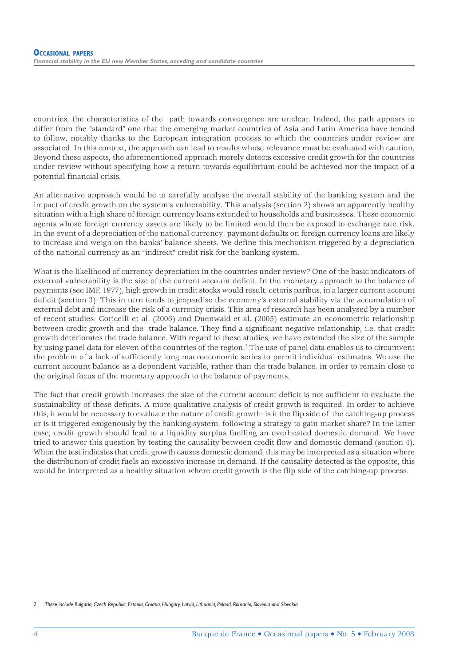countries, the characteristics of the path towards convergence are unclear. Indeed, the path appears to differ from the "standard" one that the emerging market countries of Asia and Latin America have tended to follow, notably thanks to the European integration process to which the countries under review are associated. In this context, the approach can lead to results whose relevance must be evaluated with caution. Beyond these aspects, the aforementioned approach merely detects excessive credit growth for the countries under review without specifying how a return towards equilibrium could be achieved nor the impact of a potential financial crisis.

An alternative approach would be to carefully analyse the overall stability of the banking system and the impact of credit growth on the system's vulnerability. This analysis (section 2) shows an apparently healthy situation with a high share of foreign currency loans extended to households and businesses. These economic agents whose foreign currency assets are likely to be limited would then be exposed to exchange rate risk. In the event of a depreciation of the national currency, payment defaults on foreign currency loans are likely to increase and weigh on the banks' balance sheets. We define this mechanism triggered by a depreciation of the national currency as an "indirect" credit risk for the banking system.

What is the likelihood of currency depreciation in the countries under review? One of the basic indicators of external vulnerability is the size of the current account deficit. In the monetary approach to the balance of payments (see IMF, 1977), high growth in credit stocks would result, ceteris paribus, in a larger current account deficit (section 3). This in turn tends to jeopardise the economy's external stability via the accumulation of external debt and increase the risk of a currency crisis. This area of research has been analysed by a number of recent studies: Coricelli et al. (2006) and Duenwald et al. (2005) estimate an econometric relationship between credit growth and the trade balance. They find a significant negative relationship, i.e. that credit growth deteriorates the trade balance. With regard to these studies, we have extended the size of the sample by using panel data for eleven of the countries of the region.<sup>2</sup> The use of panel data enables us to circumvent the problem of a lack of sufficiently long macroeconomic series to permit individual estimates. We use the current account balance as a dependent variable, rather than the trade balance, in order to remain close to the original focus of the monetary approach to the balance of payments.

The fact that credit growth increases the size of the current account deficit is not sufficient to evaluate the sustainability of these deficits. A more qualitative analysis of credit growth is required. In order to achieve this, it would be necessary to evaluate the nature of credit growth: is it the flip side of the catching-up process or is it triggered exogenously by the banking system, following a strategy to gain market share? In the latter case, credit growth should lead to a liquidity surplus fuelling an overheated domestic demand. We have tried to answer this question by testing the causality between credit flow and domestic demand (section 4). When the test indicates that credit growth causes domestic demand, this may be interpreted as a situation where the distribution of credit fuels an excessive increase in demand. If the causality detected is the opposite, this would be interpreted as a healthy situation where credit growth is the flip side of the catching-up process.

*2 These include Bulgaria, Czech Republic, Estonia, Croatia, Hungary, Latvia, Lithuania, Poland, Romania, Slovenia and Slovakia.*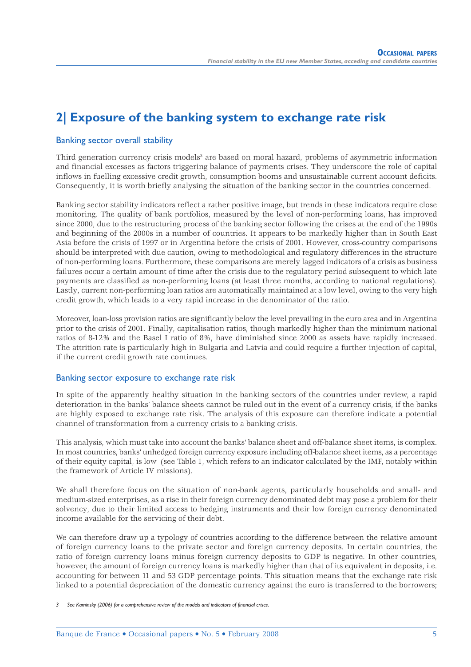### **2| Exposure of the banking system to exchange rate risk**

### Banking sector overall stability

Third generation currency crisis models<sup>3</sup> are based on moral hazard, problems of asymmetric information and financial excesses as factors triggering balance of payments crises. They underscore the role of capital inflows in fuelling excessive credit growth, consumption booms and unsustainable current account deficits. Consequently, it is worth briefly analysing the situation of the banking sector in the countries concerned.

Banking sector stability indicators reflect a rather positive image, but trends in these indicators require close monitoring. The quality of bank portfolios, measured by the level of non-performing loans, has improved since 2000, due to the restructuring process of the banking sector following the crises at the end of the 1990s and beginning of the 2000s in a number of countries. It appears to be markedly higher than in South East Asia before the crisis of 1997 or in Argentina before the crisis of 2001. However, cross-country comparisons should be interpreted with due caution, owing to methodological and regulatory differences in the structure of non-performing loans. Furthermore, these comparisons are merely lagged indicators of a crisis as business failures occur a certain amount of time after the crisis due to the regulatory period subsequent to which late payments are classified as non-performing loans (at least three months, according to national regulations). Lastly, current non-performing loan ratios are automatically maintained at a low level, owing to the very high credit growth, which leads to a very rapid increase in the denominator of the ratio.

Moreover, loan-loss provision ratios are significantly below the level prevailing in the euro area and in Argentina prior to the crisis of 2001. Finally, capitalisation ratios, though markedly higher than the minimum national ratios of 8-12% and the Basel I ratio of 8%, have diminished since 2000 as assets have rapidly increased. The attrition rate is particularly high in Bulgaria and Latvia and could require a further injection of capital, if the current credit growth rate continues.

### Banking sector exposure to exchange rate risk

In spite of the apparently healthy situation in the banking sectors of the countries under review, a rapid deterioration in the banks' balance sheets cannot be ruled out in the event of a currency crisis, if the banks are highly exposed to exchange rate risk. The analysis of this exposure can therefore indicate a potential channel of transformation from a currency crisis to a banking crisis.

This analysis, which must take into account the banks' balance sheet and off-balance sheet items, is complex. In most countries, banks' unhedged foreign currency exposure including off-balance sheet items, as a percentage of their equity capital, is low (see Table 1, which refers to an indicator calculated by the IMF, notably within the framework of Article IV missions).

We shall therefore focus on the situation of non-bank agents, particularly households and small- and medium-sized enterprises, as a rise in their foreign currency denominated debt may pose a problem for their solvency, due to their limited access to hedging instruments and their low foreign currency denominated income available for the servicing of their debt.

We can therefore draw up a typology of countries according to the difference between the relative amount of foreign currency loans to the private sector and foreign currency deposits. In certain countries, the ratio of foreign currency loans minus foreign currency deposits to GDP is negative. In other countries, however, the amount of foreign currency loans is markedly higher than that of its equivalent in deposits, i.e. accounting for between 11 and 53 GDP percentage points. This situation means that the exchange rate risk linked to a potential depreciation of the domestic currency against the euro is transferred to the borrowers;

*3 See Kaminsky (2006) for a comprehensive review of the models and indicators of financial crises.*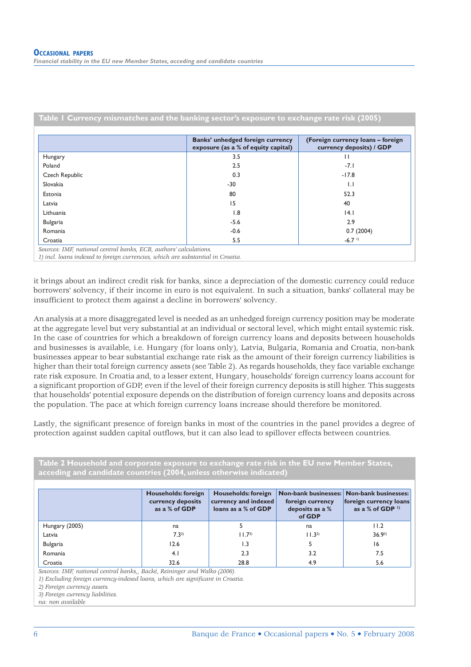|                 | Banks' unhedged foreign currency<br>exposure (as a % of equity capital) | (Foreign currency loans - foreign<br>currency deposits) / GDP |
|-----------------|-------------------------------------------------------------------------|---------------------------------------------------------------|
| Hungary         | 3.5                                                                     | Н                                                             |
| Poland          | 2.5                                                                     | $-7.1$                                                        |
| Czech Republic  | 0.3                                                                     | $-17.8$                                                       |
| Slovakia        | $-30$                                                                   | $\mathbf{L}$                                                  |
| Estonia         | 80                                                                      | 52.3                                                          |
| Latvia          | 15                                                                      | 40                                                            |
| Lithuania       | 1.8                                                                     | 4.1                                                           |
| <b>Bulgaria</b> | $-5.6$                                                                  | 2.9                                                           |
| Romania         | $-0.6$                                                                  | 0.7(2004)                                                     |
| Croatia         | 5.5                                                                     | $-6.7$ <sup>1</sup>                                           |

it brings about an indirect credit risk for banks, since a depreciation of the domestic currency could reduce borrowers' solvency, if their income in euro is not equivalent. In such a situation, banks' collateral may be insufficient to protect them against a decline in borrowers' solvency.

An analysis at a more disaggregated level is needed as an unhedged foreign currency position may be moderate at the aggregate level but very substantial at an individual or sectoral level, which might entail systemic risk. In the case of countries for which a breakdown of foreign currency loans and deposits between households and businesses is available, i.e. Hungary (for loans only), Latvia, Bulgaria, Romania and Croatia, non-bank businesses appear to bear substantial exchange rate risk as the amount of their foreign currency liabilities is higher than their total foreign currency assets (see Table 2). As regards households, they face variable exchange rate risk exposure. In Croatia and, to a lesser extent, Hungary, households' foreign currency loans account for a significant proportion of GDP, even if the level of their foreign currency deposits is still higher. This suggests that households' potential exposure depends on the distribution of foreign currency loans and deposits across the population. The pace at which foreign currency loans increase should therefore be monitored.

Lastly, the significant presence of foreign banks in most of the countries in the panel provides a degree of protection against sudden capital outflows, but it can also lead to spillover effects between countries.

| Table 2 Household and corporate exposure to exchange rate risk in the EU new Member States,<br>acceding and candidate countries (2004, unless otherwise indicated) |                                                           |                                                                    |                                               |                                                                                                         |
|--------------------------------------------------------------------------------------------------------------------------------------------------------------------|-----------------------------------------------------------|--------------------------------------------------------------------|-----------------------------------------------|---------------------------------------------------------------------------------------------------------|
|                                                                                                                                                                    | Households: foreign<br>currency deposits<br>as a % of GDP | Households: foreign<br>currency and indexed<br>loans as a % of GDP | foreign currency<br>deposits as a %<br>of GDP | Non-bank businesses: Non-bank businesses:<br>foreign currency loans<br>as a % of GDP $\,$ <sup>1)</sup> |
| Hungary (2005)                                                                                                                                                     | na                                                        |                                                                    | na                                            | 11.2                                                                                                    |
| Latvia                                                                                                                                                             | $7.3^{2}$                                                 | $11.7^{3}$                                                         | $11.3^{2}$                                    | $36.9^{3}$                                                                                              |
| Bulgaria                                                                                                                                                           | 12.6                                                      | 1.3                                                                | 5                                             | 16                                                                                                      |
| Romania                                                                                                                                                            | 4.1                                                       | 2.3                                                                | 3.2                                           | 7.5                                                                                                     |
| Croatia                                                                                                                                                            | 32.6                                                      | 28.8                                                               | 4.9                                           | 5.6                                                                                                     |

*Sources: IMF, national central banks,, Backé, Reininger and Walko (2006).* 

1) Excluding foreign currency-indexed loans, which are significant in Croatia.

*2) Foreign currency assets.*

*3) Foreign currency liabilities.*

*na: non available*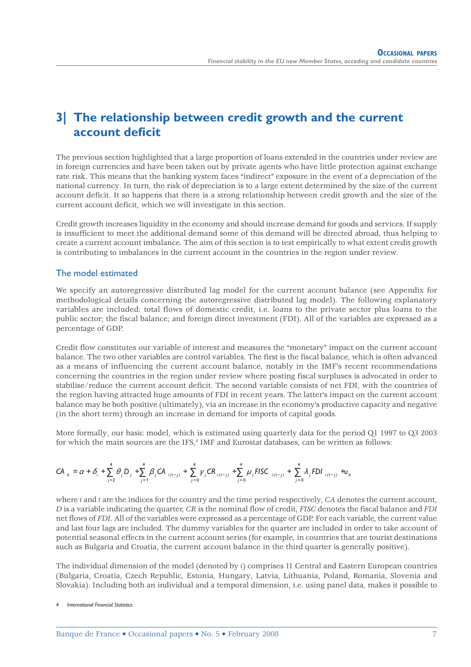### **3| The relationship between credit growth and the current account deficit**

The previous section highlighted that a large proportion of loans extended in the countries under review are in foreign currencies and have been taken out by private agents who have little protection against exchange rate risk. This means that the banking system faces "indirect" exposure in the event of a depreciation of the national currency. In turn, the risk of depreciation is to a large extent determined by the size of the current account deficit. It so happens that there is a strong relationship between credit growth and the size of the current account deficit, which we will investigate in this section.

Credit growth increases liquidity in the economy and should increase demand for goods and services. If supply is insufficient to meet the additional demand some of this demand will be directed abroad, thus helping to create a current account imbalance. The aim of this section is to test empirically to what extent credit growth is contributing to imbalances in the current account in the countries in the region under review.

### The model estimated

We specify an autoregressive distributed lag model for the current account balance (see Appendix for methodological details concerning the autoregressive distributed lag model). The following explanatory variables are included: total flows of domestic credit, i.e. loans to the private sector plus loans to the public sector; the fiscal balance; and foreign direct investment (FDI). All of the variables are expressed as a percentage of GDP.

Credit flow constitutes our variable of interest and measures the "monetary" impact on the current account balance. The two other variables are control variables. The first is the fiscal balance, which is often advanced as a means of influencing the current account balance, notably in the IMF's recent recommendations concerning the countries in the region under review where posting fiscal surpluses is advocated in order to stabilise/reduce the current account deficit. The second variable consists of net FDI, with the countries of the region having attracted huge amounts of FDI in recent years. The latter's impact on the current account balance may be both positive (ultimately), via an increase in the economy's productive capacity and negative (in the short term) through an increase in demand for imports of capital goods.

More formally, our basic model, which is estimated using quarterly data for the period Q1 1997 to Q3 2003 for which the main sources are the IFS,<sup>4</sup> IMF and Eurostat databases, can be written as follows:

$$
CA_{it} = \alpha + \delta_i + \sum_{j=2}^{4} \theta_j D_j + \sum_{j=1}^{4} \beta_j CA_{i(t-j)} + \sum_{j=0}^{4} \gamma_j CR_{i(t-j)} + \sum_{j=0}^{4} \mu_j FISC_{i(t-j)} + \sum_{j=0}^{4} \lambda_j FDI_{i(t-j)} + u_{it}
$$

where *i* and *t* are the indices for the country and the time period respectively. *CA* denotes the current account, *D* is a variable indicating the quarter, *CR* is the nominal flow of credit, *FISC* denotes the fiscal balance and *FDI* net flows of *FDI*. All of the variables were expressed as a percentage of GDP. For each variable, the current value and last four lags are included. The dummy variables for the quarter are included in order to take account of potential seasonal effects in the current account series (for example, in countries that are tourist destinations such as Bulgaria and Croatia, the current account balance in the third quarter is generally positive).

The individual dimension of the model (denoted by *i*) comprises 11 Central and Eastern European countries (Bulgaria, Croatia, Czech Republic, Estonia, Hungary, Latvia, Lithuania, Poland, Romania, Slovenia and Slovakia). Including both an individual and a temporal dimension, i.e. using panel data, makes it possible to

*<sup>4</sup> International Financial Statistics.*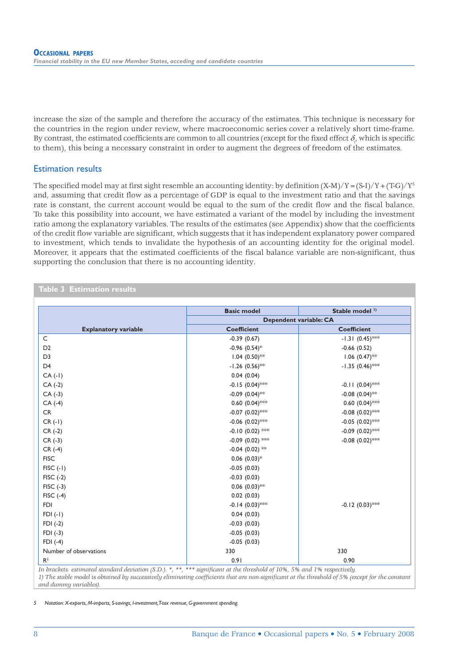increase the size of the sample and therefore the accuracy of the estimates. This technique is necessary for the countries in the region under review, where macroeconomic series cover a relatively short time-frame. By contrast, the estimated coefficients are common to all countries (except for the fixed effect  $\delta_i$ , which is specific to them), this being a necessary constraint in order to augment the degrees of freedom of the estimates.

### Estimation results

The specified model may at first sight resemble an accounting identity: by definition  $(X-M)/Y=(S-I)/Y+(T-G)/Y^5$ and, assuming that credit flow as a percentage of GDP is equal to the investment ratio and that the savings rate is constant, the current account would be equal to the sum of the credit flow and the fiscal balance. To take this possibility into account, we have estimated a variant of the model by including the investment ratio among the explanatory variables. The results of the estimates (see Appendix) show that the coefficients of the credit flow variable are significant, which suggests that it has independent explanatory power compared to investment, which tends to invalidate the hypothesis of an accounting identity for the original model. Moreover, it appears that the estimated coefficients of the fiscal balance variable are non-significant, thus supporting the conclusion that there is no accounting identity.

#### **Table 3 Estimation results**

|                             | <b>Basic model</b>          | Stable model <sup>1)</sup> |  |  |
|-----------------------------|-----------------------------|----------------------------|--|--|
|                             | Dependent variable: CA      |                            |  |  |
| <b>Explanatory variable</b> | <b>Coefficient</b>          | <b>Coefficient</b>         |  |  |
| C                           | $-0.39(0.67)$               | $-1.31 (0.45)$ **          |  |  |
| D <sub>2</sub>              | $-0.96$ (0.54) <sup>*</sup> | $-0.66(0.52)$              |  |  |
| D <sub>3</sub>              | $1.04$ (0.50)**             | $1.06$ $(0.47)$ **         |  |  |
| D <sub>4</sub>              | $-1.26$ (0.56)**            | $-1.35$ $(0.46)$ ***       |  |  |
| $CA(-1)$                    | 0.04(0.04)                  |                            |  |  |
| $CA(-2)$                    | $-0.15$ $(0.04)$ ***        | $-0.11(0.04)$ **           |  |  |
| $CA(-3)$                    | $-0.09$ (0.04)**            | $-0.08$ $(0.04)$ **        |  |  |
| $CA(-4)$                    | $0.60$ $(0.04)$ ***         | $0.60$ $(0.04)$ ***        |  |  |
| CR                          | $-0.07$ (0.02)***           | $-0.08$ $(0.02)$ ***       |  |  |
| $CR(-1)$                    | $-0.06$ $(0.02)$ ***        | $-0.05$ $(0.02)$ ***       |  |  |
| $CR(-2)$                    | $-0.10(0.02)$ ***           | $-0.09$ $(0.02)$ ***       |  |  |
| $CR(-3)$                    | $-0.09$ (0.02) ***          | $-0.08$ $(0.02)$ ***       |  |  |
| $CR(-4)$                    | $-0.04$ (0.02) **           |                            |  |  |
| <b>FISC</b>                 | $0.06$ $(0.03)*$            |                            |  |  |
| $FISC$ $(-1)$               | $-0.05(0.03)$               |                            |  |  |
| $FISC(-2)$                  | $-0.03(0.03)$               |                            |  |  |
| $FISC(-3)$                  | $0.06$ $(0.03)$ **          |                            |  |  |
| $FISC$ $(-4)$               | 0.02(0.03)                  |                            |  |  |
| <b>FDI</b>                  | $-0.14$ (0.03)***           | $-0.12$ $(0.03)$ ***       |  |  |
| $FDI(-1)$                   | 0.04(0.03)                  |                            |  |  |
| $FDI(-2)$                   | $-0.03(0.03)$               |                            |  |  |
| $FDI(-3)$                   | $-0.05(0.03)$               |                            |  |  |
| $FDI$ $(-4)$                | $-0.05(0.03)$               |                            |  |  |
| Number of observations      | 330                         | 330                        |  |  |
| R <sup>2</sup>              | 0.91                        | 0.90                       |  |  |

*In brackets: estimated standard deviation (S.D.).* \*, \*\*, \*\*\* significant at the threshold of 10%, 5% and 1% respectively.

*1)* The stable model is obtained by successively eliminating coefficients that are non-significant at the threshold of 5% (except for the constant *and dummy variables).*

*5 Notation: X-exports, M-imports, S-savings, I-investment, T-tax revenue, G-government spending.*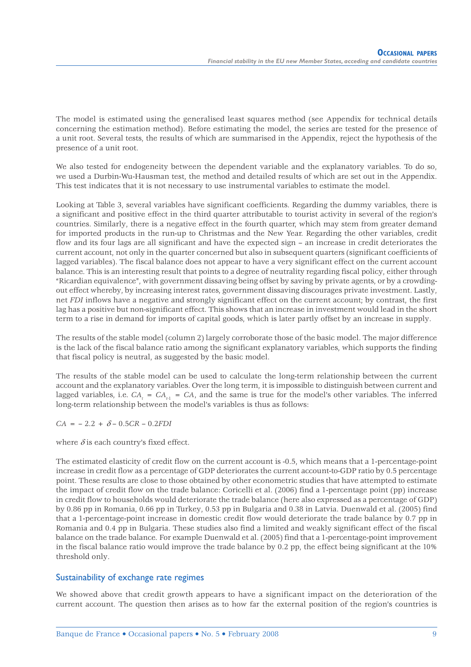The model is estimated using the generalised least squares method (see Appendix for technical details concerning the estimation method). Before estimating the model, the series are tested for the presence of a unit root. Several tests, the results of which are summarised in the Appendix, reject the hypothesis of the presence of a unit root.

We also tested for endogeneity between the dependent variable and the explanatory variables. To do so, we used a Durbin-Wu-Hausman test, the method and detailed results of which are set out in the Appendix. This test indicates that it is not necessary to use instrumental variables to estimate the model.

Looking at Table 3, several variables have significant coefficients. Regarding the dummy variables, there is a significant and positive effect in the third quarter attributable to tourist activity in several of the region's countries. Similarly, there is a negative effect in the fourth quarter, which may stem from greater demand for imported products in the run-up to Christmas and the New Year. Regarding the other variables, credit flow and its four lags are all significant and have the expected sign – an increase in credit deteriorates the current account, not only in the quarter concerned but also in subsequent quarters (significant coefficients of lagged variables). The fiscal balance does not appear to have a very significant effect on the current account balance. This is an interesting result that points to a degree of neutrality regarding fiscal policy, either through "Ricardian equivalence", with government dissaving being offset by saving by private agents, or by a crowdingout effect whereby, by increasing interest rates, government dissaving discourages private investment. Lastly, net *FDI* inflows have a negative and strongly significant effect on the current account; by contrast, the first lag has a positive but non-significant effect. This shows that an increase in investment would lead in the short term to a rise in demand for imports of capital goods, which is later partly offset by an increase in supply.

The results of the stable model (column 2) largely corroborate those of the basic model. The major difference is the lack of the fiscal balance ratio among the significant explanatory variables, which supports the finding that fiscal policy is neutral, as suggested by the basic model.

The results of the stable model can be used to calculate the long-term relationship between the current account and the explanatory variables. Over the long term, it is impossible to distinguish between current and lagged variables, i.e.  $CA_t = CA_{t-1} = CA$ , and the same is true for the model's other variables. The inferred long-term relationship between the model's variables is thus as follows:

 $CA = -2.2 + \delta - 0.5CR - 0.2FDI$ 

where  $\delta$  is each country's fixed effect.

The estimated elasticity of credit flow on the current account is -0.5, which means that a 1-percentage-point increase in credit flow as a percentage of GDP deteriorates the current account-to-GDP ratio by 0.5 percentage point. These results are close to those obtained by other econometric studies that have attempted to estimate the impact of credit flow on the trade balance: Coricelli et al. (2006) find a 1-percentage point (pp) increase in credit flow to households would deteriorate the trade balance (here also expressed as a percentage of GDP) by 0.86 pp in Romania, 0.66 pp in Turkey, 0.53 pp in Bulgaria and 0.38 in Latvia. Duenwald et al. (2005) find that a 1-percentage-point increase in domestic credit flow would deteriorate the trade balance by 0.7 pp in Romania and 0.4 pp in Bulgaria. These studies also find a limited and weakly significant effect of the fiscal balance on the trade balance. For example Duenwald et al. (2005) find that a 1-percentage-point improvement in the fiscal balance ratio would improve the trade balance by 0.2 pp, the effect being significant at the 10% threshold only.

### Sustainability of exchange rate regimes

We showed above that credit growth appears to have a significant impact on the deterioration of the current account. The question then arises as to how far the external position of the region's countries is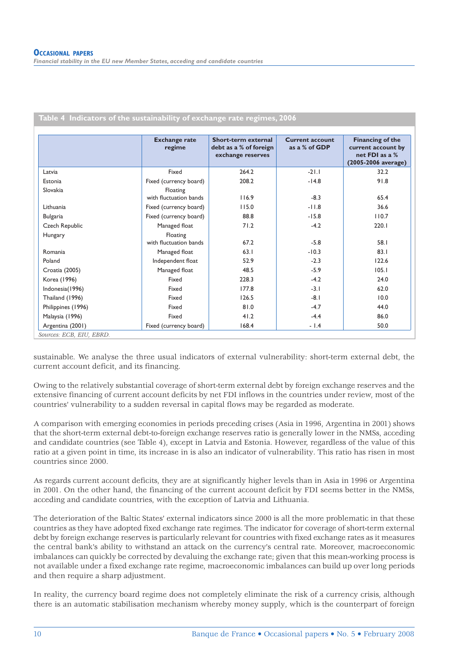|                    | <b>Exchange rate</b><br>regime | Short-term external<br>debt as a % of foreign<br>exchange reserves | <b>Current account</b><br>as a % of GDP | Financing of the<br>current account by<br>net FDI as a %<br>(2005-2006 average) |
|--------------------|--------------------------------|--------------------------------------------------------------------|-----------------------------------------|---------------------------------------------------------------------------------|
| Latvia             | Fixed                          | 264.2                                                              | $-21.1$                                 | 32.2                                                                            |
| Estonia            | Fixed (currency board)         | 208.2                                                              | $-14.8$                                 | 91.8                                                                            |
| Slovakia           | Floating                       |                                                                    |                                         |                                                                                 |
|                    | with fluctuation bands         | 116.9                                                              | $-8.3$                                  | 65.4                                                                            |
| Lithuania          | Fixed (currency board)         | 115.0                                                              | $-11.8$                                 | 36.6                                                                            |
| <b>Bulgaria</b>    | Fixed (currency board)         | 88.8                                                               | $-15.8$                                 | 110.7                                                                           |
| Czech Republic     | Managed float                  | 71.2                                                               | $-4.2$                                  | 220.1                                                                           |
| Hungary            | Floating                       |                                                                    |                                         |                                                                                 |
|                    | with fluctuation bands         | 67.2                                                               | $-5.8$                                  | 58.1                                                                            |
| Romania            | Managed float                  | 63.1                                                               | $-10.3$                                 | 83.1                                                                            |
| Poland             | Independent float              | 52.9                                                               | $-2.3$                                  | 122.6                                                                           |
| Croatia (2005)     | Managed float                  | 48.5                                                               | $-5.9$                                  | 105.1                                                                           |
| Korea (1996)       | Fixed                          | 228.3                                                              | $-4.2$                                  | 24.0                                                                            |
| Indonesia (1996)   | Fixed                          | 177.8                                                              | $-3.1$                                  | 62.0                                                                            |
| Thailand (1996)    | Fixed                          | 126.5                                                              | $-8.1$                                  | 10.0                                                                            |
| Philippines (1996) | Fixed                          | 81.0                                                               | $-4.7$                                  | 44.0                                                                            |
| Malaysia (1996)    | Fixed                          | 41.2                                                               | $-4.4$                                  | 86.0                                                                            |
| Argentina (2001)   | Fixed (currency board)         | 168.4                                                              | $-1.4$                                  | 50.0                                                                            |

**Table 4 Indicators of the sustainability of exchange rate regimes, 2006**

sustainable. We analyse the three usual indicators of external vulnerability: short-term external debt, the current account deficit, and its financing.

Owing to the relatively substantial coverage of short-term external debt by foreign exchange reserves and the extensive financing of current account deficits by net FDI inflows in the countries under review, most of the countries' vulnerability to a sudden reversal in capital flows may be regarded as moderate.

A comparison with emerging economies in periods preceding crises (Asia in 1996, Argentina in 2001) shows that the short-term external debt-to-foreign exchange reserves ratio is generally lower in the NMSs, acceding and candidate countries (see Table 4), except in Latvia and Estonia. However, regardless of the value of this ratio at a given point in time, its increase in is also an indicator of vulnerability. This ratio has risen in most countries since 2000.

As regards current account deficits, they are at significantly higher levels than in Asia in 1996 or Argentina in 2001. On the other hand, the financing of the current account deficit by FDI seems better in the NMSs, acceding and candidate countries, with the exception of Latvia and Lithuania.

The deterioration of the Baltic States' external indicators since 2000 is all the more problematic in that these countries as they have adopted fixed exchange rate regimes. The indicator for coverage of short-term external debt by foreign exchange reserves is particularly relevant for countries with fixed exchange rates as it measures the central bank's ability to withstand an attack on the currency's central rate. Moreover, macroeconomic imbalances can quickly be corrected by devaluing the exchange rate; given that this mean-working process is not available under a fixed exchange rate regime, macroeconomic imbalances can build up over long periods and then require a sharp adjustment.

In reality, the currency board regime does not completely eliminate the risk of a currency crisis, although there is an automatic stabilisation mechanism whereby money supply, which is the counterpart of foreign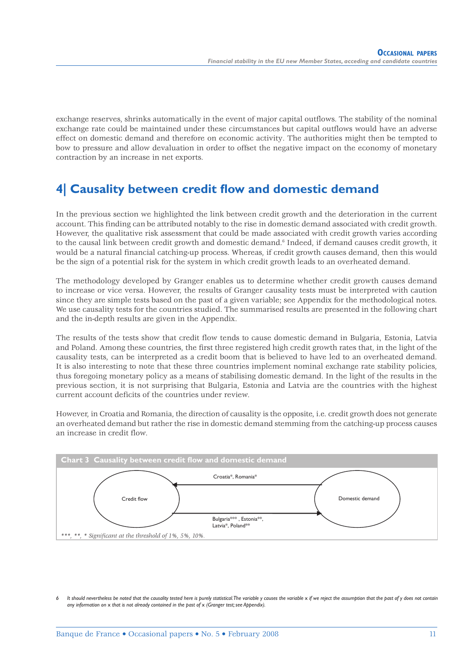exchange reserves, shrinks automatically in the event of major capital outflows. The stability of the nominal exchange rate could be maintained under these circumstances but capital outflows would have an adverse effect on domestic demand and therefore on economic activity. The authorities might then be tempted to bow to pressure and allow devaluation in order to offset the negative impact on the economy of monetary contraction by an increase in net exports.

### **4| Causality between credit flow and domestic demand**

In the previous section we highlighted the link between credit growth and the deterioration in the current account. This finding can be attributed notably to the rise in domestic demand associated with credit growth. However, the qualitative risk assessment that could be made associated with credit growth varies according to the causal link between credit growth and domestic demand.6 Indeed, if demand causes credit growth, it would be a natural financial catching-up process. Whereas, if credit growth causes demand, then this would be the sign of a potential risk for the system in which credit growth leads to an overheated demand.

The methodology developed by Granger enables us to determine whether credit growth causes demand to increase or vice versa. However, the results of Granger causality tests must be interpreted with caution since they are simple tests based on the past of a given variable; see Appendix for the methodological notes. We use causality tests for the countries studied. The summarised results are presented in the following chart and the in-depth results are given in the Appendix.

The results of the tests show that credit flow tends to cause domestic demand in Bulgaria, Estonia, Latvia and Poland. Among these countries, the first three registered high credit growth rates that, in the light of the causality tests, can be interpreted as a credit boom that is believed to have led to an overheated demand. It is also interesting to note that these three countries implement nominal exchange rate stability policies, thus foregoing monetary policy as a means of stabilising domestic demand. In the light of the results in the previous section, it is not surprising that Bulgaria, Estonia and Latvia are the countries with the highest current account deficits of the countries under review.

However, in Croatia and Romania, the direction of causality is the opposite, i.e. credit growth does not generate an overheated demand but rather the rise in domestic demand stemming from the catching-up process causes an increase in credit flow.



It should nevertheless be noted that the causality tested here is purely statistical. The variable y causes the variable x if we reject the assumption that the past of y does not contain *any information on* x *that is not already contained in the past of* x *(Granger test; see Appendix).*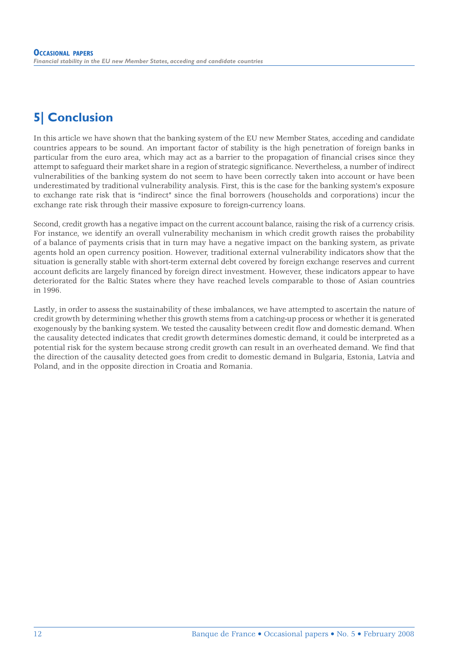### **5| Conclusion**

In this article we have shown that the banking system of the EU new Member States, acceding and candidate countries appears to be sound. An important factor of stability is the high penetration of foreign banks in particular from the euro area, which may act as a barrier to the propagation of financial crises since they attempt to safeguard their market share in a region of strategic significance. Nevertheless, a number of indirect vulnerabilities of the banking system do not seem to have been correctly taken into account or have been underestimated by traditional vulnerability analysis. First, this is the case for the banking system's exposure to exchange rate risk that is "indirect" since the final borrowers (households and corporations) incur the exchange rate risk through their massive exposure to foreign-currency loans.

Second, credit growth has a negative impact on the current account balance, raising the risk of a currency crisis. For instance, we identify an overall vulnerability mechanism in which credit growth raises the probability of a balance of payments crisis that in turn may have a negative impact on the banking system, as private agents hold an open currency position. However, traditional external vulnerability indicators show that the situation is generally stable with short-term external debt covered by foreign exchange reserves and current account deficits are largely financed by foreign direct investment. However, these indicators appear to have deteriorated for the Baltic States where they have reached levels comparable to those of Asian countries in 1996.

Lastly, in order to assess the sustainability of these imbalances, we have attempted to ascertain the nature of credit growth by determining whether this growth stems from a catching-up process or whether it is generated exogenously by the banking system. We tested the causality between credit flow and domestic demand. When the causality detected indicates that credit growth determines domestic demand, it could be interpreted as a potential risk for the system because strong credit growth can result in an overheated demand. We find that the direction of the causality detected goes from credit to domestic demand in Bulgaria, Estonia, Latvia and Poland, and in the opposite direction in Croatia and Romania.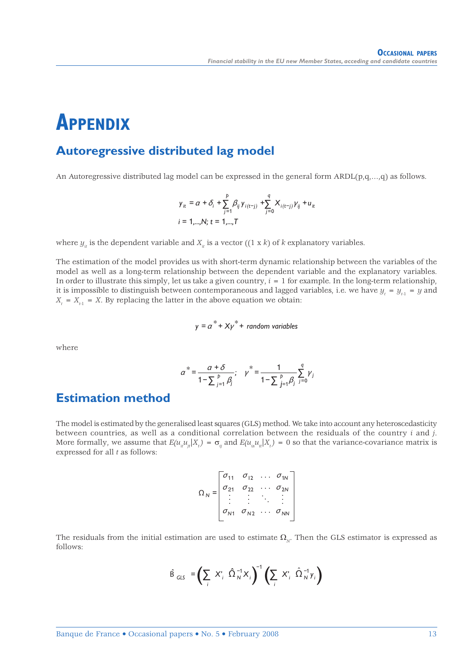## **APPENDIX**

### **Autoregressive distributed lag model**

An Autoregressive distributed lag model can be expressed in the general form  $ARDL(p,q,...,q)$  as follows.

$$
\begin{aligned} \boldsymbol{y}_{it} &= \alpha + \delta_i + \sum_{j=1}^{p} \beta_{ij} \, \boldsymbol{y}_{i(t-j)} + \sum_{j=0}^{q} \boldsymbol{X}_{i(t-j)} \, \boldsymbol{y}_{ij} + \boldsymbol{u}_{it} \\ \boldsymbol{i} &= \mathbf{1}, \dots, \boldsymbol{N}; \, t = 1, \dots, T \end{aligned}
$$

where  $y_i$  is the dependent variable and  $X_i$  is a vector ((1 x *k*) of *k* explanatory variables.

The estimation of the model provides us with short-term dynamic relationship between the variables of the model as well as a long-term relationship between the dependent variable and the explanatory variables. In order to illustrate this simply, let us take a given country, *i* = 1 for example. In the long-term relationship, it is impossible to distinguish between contemporaneous and lagged variables, i.e. we have  $y_t = y_{t-1} = y$  and  $X_t = X_{t-1} = X$ . By replacing the latter in the above equation we obtain:

$$
y = a^* + X\gamma^* + \text{ random variables}
$$

where

$$
\alpha^* = \frac{\alpha + \delta}{1 - \sum_{j=1}^p \beta_j}; \quad \gamma^* = \frac{1}{1 - \sum_{j=1}^p \beta_j} \sum_{j=0}^q \gamma_j
$$

### **Estimation method**

The model is estimated by the generalised least squares (GLS) method. We take into account any heteroscedasticity between countries, as well as a conditional correlation between the residuals of the country *i* and *j*. More formally, we assume that  $E(u_{ii}u_{ii}|X_t) = \sigma_{ii}$  and  $E(u_{ii}u_{ii}|X_t) = 0$  so that the variance-covariance matrix is expressed for all *t* as follows:

$$
\Omega_N = \begin{bmatrix} \sigma_{11} & \sigma_{12} & \dots & \sigma_{1N} \\ \sigma_{21} & \sigma_{22} & \dots & \sigma_{2N} \\ \vdots & \vdots & \ddots & \vdots \\ \sigma_{N1} & \sigma_{N2} & \dots & \sigma_{NN} \end{bmatrix}
$$

The residuals from the initial estimation are used to estimate  $\Omega_N$ . Then the GLS estimator is expressed as follows:

$$
\hat{\mathsf{B}}_{\mathsf{GLS}} = \left( \sum_i X_i^c \hat{\Omega}_N^{-1} X_i \right)^{-1} \left( \sum_i X_i^c \hat{\Omega}_N^{-1} \mathsf{y}_i \right)
$$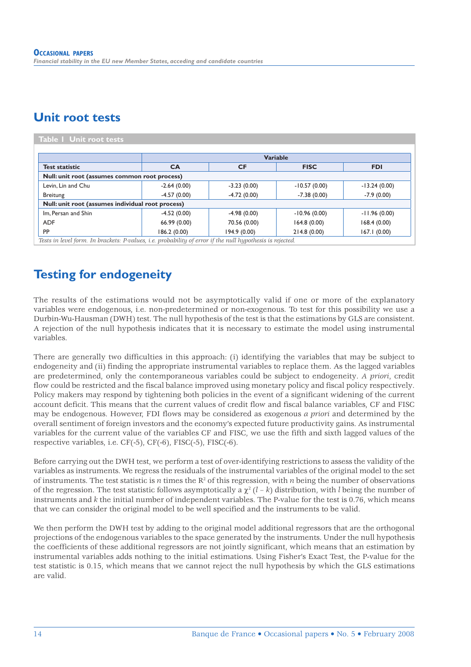### **Unit root tests**

| Table I Unit root tests                           |               |                 |                |                |  |  |  |
|---------------------------------------------------|---------------|-----------------|----------------|----------------|--|--|--|
|                                                   |               | <b>Variable</b> |                |                |  |  |  |
| <b>Test statistic</b>                             | <b>CA</b>     | <b>CF</b>       | <b>FISC</b>    | <b>FDI</b>     |  |  |  |
| Null: unit root (assumes common root process)     |               |                 |                |                |  |  |  |
| Levin, Lin and Chu                                | $-2.64(0.00)$ | $-3.23(0.00)$   | $-10.57(0.00)$ | $-13.24(0.00)$ |  |  |  |
| Breitung                                          | $-4.57(0.00)$ | $-4.72(0.00)$   | $-7.38(0.00)$  | $-7.9(0.00)$   |  |  |  |
| Null: unit root (assumes individual root process) |               |                 |                |                |  |  |  |
| Im. Persan and Shin                               | $-4.52(0.00)$ | $-4.98(0.00)$   | $-10.96(0.00)$ | $-11.96(0.00)$ |  |  |  |
| <b>ADF</b>                                        | 66.99 (0.00)  | 70.56 (0.00)    | 164.8(0.00)    | 168.4(0.00)    |  |  |  |
| <b>PP</b>                                         | 186.2 (0.00)  | 194.9(0.00)     | 214.8(0.00)    | 167.1(0.00)    |  |  |  |

*Tests in level form. In brackets: P-values, i.e. probability of error if the null hypothesis is rejected.*

### **Testing for endogeneity**

The results of the estimations would not be asymptotically valid if one or more of the explanatory variables were endogenous, i.e. non-predetermined or non-exogenous. To test for this possibility we use a Durbin-Wu-Hausman (DWH) test. The null hypothesis of the test is that the estimations by GLS are consistent. A rejection of the null hypothesis indicates that it is necessary to estimate the model using instrumental variables.

There are generally two difficulties in this approach: (i) identifying the variables that may be subject to endogeneity and (ii) finding the appropriate instrumental variables to replace them. As the lagged variables are predetermined, only the contemporaneous variables could be subject to endogeneity. *A priori*, credit flow could be restricted and the fiscal balance improved using monetary policy and fiscal policy respectively. Policy makers may respond by tightening both policies in the event of a significant widening of the current account deficit. This means that the current values of credit flow and fiscal balance variables, CF and FISC may be endogenous. However, FDI flows may be considered as exogenous *a priori* and determined by the overall sentiment of foreign investors and the economy's expected future productivity gains. As instrumental variables for the current value of the variables CF and FISC, we use the fifth and sixth lagged values of the respective variables, i.e. CF(-5), CF(-6), FISC(-5), FISC(-6).

Before carrying out the DWH test, we perform a test of over-identifying restrictions to assess the validity of the variables as instruments. We regress the residuals of the instrumental variables of the original model to the set of instruments. The test statistic is *n* times the  $R^2$  of this regression, with *n* being the number of observations of the regression. The test statistic follows asymptotically a  $\chi^2$  (*l* – *k*) distribution, with *l* being the number of instruments and *k* the initial number of independent variables. The P-value for the test is 0.76, which means that we can consider the original model to be well specified and the instruments to be valid.

We then perform the DWH test by adding to the original model additional regressors that are the orthogonal projections of the endogenous variables to the space generated by the instruments. Under the null hypothesis the coefficients of these additional regressors are not jointly significant, which means that an estimation by instrumental variables adds nothing to the initial estimations. Using Fisher's Exact Test, the P-value for the test statistic is 0.15, which means that we cannot reject the null hypothesis by which the GLS estimations are valid.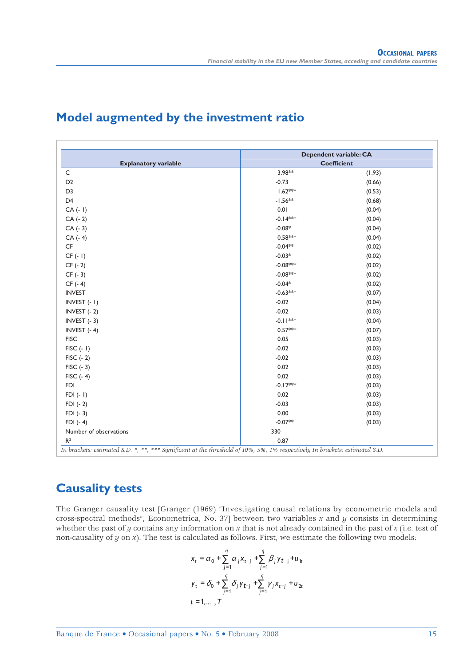|                             |            | Dependent variable: CA |
|-----------------------------|------------|------------------------|
| <b>Explanatory variable</b> |            | <b>Coefficient</b>     |
| $\mathsf C$                 | 3.98**     | (1.93)                 |
| D <sub>2</sub>              | $-0.73$    | (0.66)                 |
| D <sub>3</sub>              | $1.62***$  | (0.53)                 |
| D <sub>4</sub>              | $-1.56**$  | (0.68)                 |
| $CA(-1)$                    | 0.01       | (0.04)                 |
| $CA(-2)$                    | $-0.14***$ | (0.04)                 |
| $CA(-3)$                    | $-0.08*$   | (0.04)                 |
| $CA(-4)$                    | $0.58***$  | (0.04)                 |
| $\mathsf{C}\mathsf{F}$      | $-0.04**$  | (0.02)                 |
| $CF(-1)$                    | $-0.03*$   | (0.02)                 |
| $CF(-2)$                    | $-0.08***$ | (0.02)                 |
| $CF(-3)$                    | $-0.08***$ | (0.02)                 |
| $CF(-4)$                    | $-0.04*$   | (0.02)                 |
| <b>INVEST</b>               | $-0.63***$ | (0.07)                 |
| INVEST (- I)                | $-0.02$    | (0.04)                 |
| INVEST (- 2)                | $-0.02$    | (0.03)                 |
| INVEST $(-3)$               | $-0.11***$ | (0.04)                 |
| INVEST $(-4)$               | $0.57***$  | (0.07)                 |
| <b>FISC</b>                 | 0.05       | (0.03)                 |
| $FISC(-1)$                  | $-0.02$    | (0.03)                 |
| $FISC$ (- 2)                | $-0.02$    | (0.03)                 |
| $FISC(-3)$                  | 0.02       | (0.03)                 |
| $FISC(-4)$                  | 0.02       | (0.03)                 |
| <b>FDI</b>                  | $-0.12***$ | (0.03)                 |
| $FDI (-1)$                  | 0.02       | (0.03)                 |
| $FDI(-2)$                   | $-0.03$    | (0.03)                 |
| $FDI(-3)$                   | 0.00       | (0.03)                 |
| $FDI(-4)$                   | $-0.07**$  | (0.03)                 |
| Number of observations      | 330        |                        |
| R <sup>2</sup>              | 0.87       |                        |

### **Model augmented by the investment ratio**

### **Causality tests**

The Granger causality test [Granger (1969) "Investigating causal relations by econometric models and cross-spectral methods", Econometrica, No. 37] between two variables *x* and *y* consists in determining whether the past of *y* contains any information on *x* that is not already contained in the past of *x* (i.e. test of non-causality of *y* on *x*). The test is calculated as follows. First, we estimate the following two models:

$$
x_{t} = \alpha_{0} + \sum_{j=1}^{q} \alpha_{j} x_{t-j} + \sum_{j=1}^{q} \beta_{j} y_{t-j} + u_{it}
$$
  

$$
y_{t} = \delta_{0} + \sum_{j=1}^{q} \delta_{j} y_{t-j} + \sum_{j=1}^{q} \gamma_{j} x_{t-j} + u_{2t}
$$
  

$$
t = 1, ..., T
$$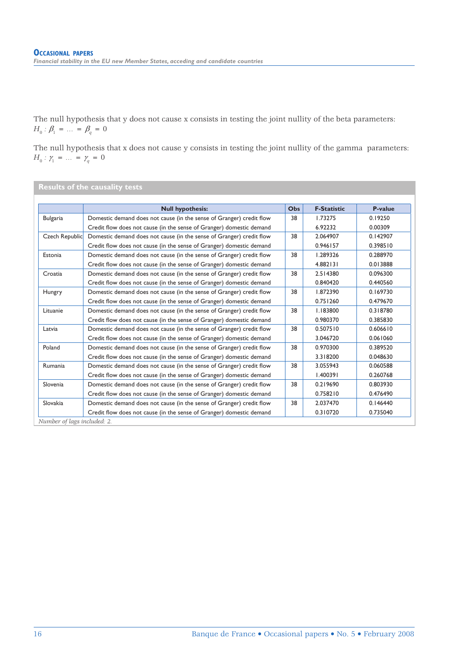The null hypothesis that y does not cause x consists in testing the joint nullity of the beta parameters:  $H_0: \beta_1 = \dots = \beta_q = 0$ 

The null hypothesis that x does not cause y consists in testing the joint nullity of the gamma parameters: *H*<sub>0</sub> :  $\gamma_1 = ... = \gamma_q = 0$ 

**Results of the causality tests**

|                 | <b>Null hypothesis:</b>                                              | O <sub>bs</sub> | <b>F-Statistic</b> | P-value  |
|-----------------|----------------------------------------------------------------------|-----------------|--------------------|----------|
| <b>Bulgaria</b> | Domestic demand does not cause (in the sense of Granger) credit flow | 38              | 1.73275            | 0.19250  |
|                 | Credit flow does not cause (in the sense of Granger) domestic demand |                 | 6.92232            | 0.00309  |
| Czech Republic  | Domestic demand does not cause (in the sense of Granger) credit flow | 38              | 2.064907           | 0.142907 |
|                 | Credit flow does not cause (in the sense of Granger) domestic demand |                 | 0.946157           | 0.398510 |
| Estonia         | Domestic demand does not cause (in the sense of Granger) credit flow | 38              | 1.289326           | 0.288970 |
|                 | Credit flow does not cause (in the sense of Granger) domestic demand |                 | 4.882131           | 0.013888 |
| Croatia         | Domestic demand does not cause (in the sense of Granger) credit flow | 38              | 2.514380           | 0.096300 |
|                 | Credit flow does not cause (in the sense of Granger) domestic demand |                 | 0.840420           | 0.440560 |
| Hungry          | Domestic demand does not cause (in the sense of Granger) credit flow | 38              | 1.872390           | 0.169730 |
|                 | Credit flow does not cause (in the sense of Granger) domestic demand |                 | 0.751260           | 0.479670 |
| Lituanie        | Domestic demand does not cause (in the sense of Granger) credit flow | 38              | 1.183800           | 0.318780 |
|                 | Credit flow does not cause (in the sense of Granger) domestic demand |                 | 0.980370           | 0.385830 |
| Latvia          | Domestic demand does not cause (in the sense of Granger) credit flow | 38              | 0.507510           | 0.606610 |
|                 | Credit flow does not cause (in the sense of Granger) domestic demand |                 | 3.046720           | 0.061060 |
| Poland          | Domestic demand does not cause (in the sense of Granger) credit flow | 38              | 0.970300           | 0.389520 |
|                 | Credit flow does not cause (in the sense of Granger) domestic demand |                 | 3.318200           | 0.048630 |
| Rumania         | Domestic demand does not cause (in the sense of Granger) credit flow | 38              | 3.055943           | 0.060588 |
|                 | Credit flow does not cause (in the sense of Granger) domestic demand |                 | 1.400391           | 0.260768 |
| Slovenia        | Domestic demand does not cause (in the sense of Granger) credit flow | 38              | 0.219690           | 0.803930 |
|                 | Credit flow does not cause (in the sense of Granger) domestic demand |                 | 0.758210           | 0.476490 |
| Slovakia        | Domestic demand does not cause (in the sense of Granger) credit flow | 38              | 2.037470           | 0.146440 |
|                 | Credit flow does not cause (in the sense of Granger) domestic demand |                 | 0.310720           | 0.735040 |

16 Banque de France • Occasional papers • No. 5 • February 2008